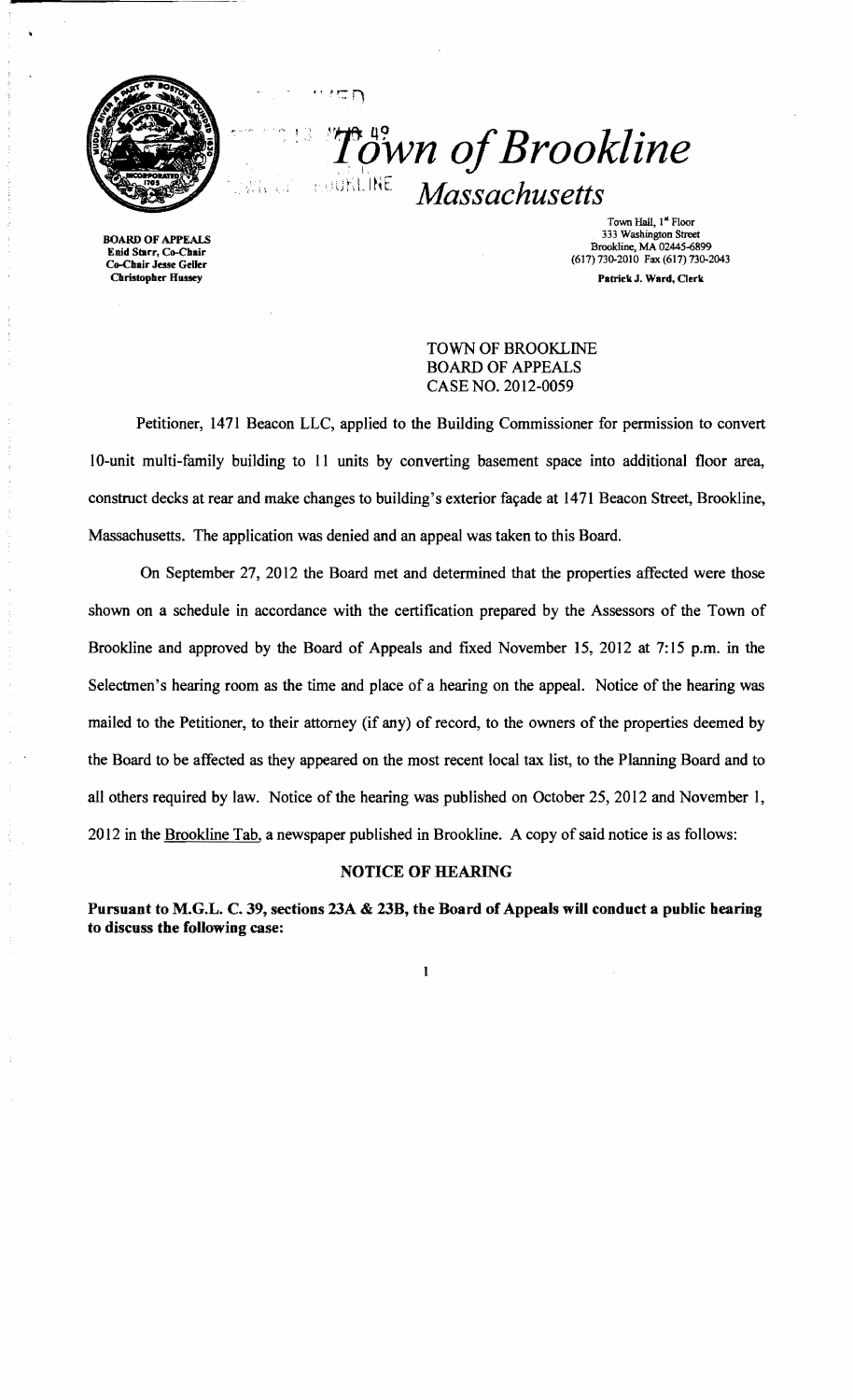

**Town of Brookline**  $Massachusetts$ 

BOARD OF APPEALS Enid Starr, Co-Chair Co-Chair Jesse GeUer **Christopher Hussey** 

Town Hall, I" Floor 333 Washington Street Brookline, MA 02445-6899 (617) 730-2010 Fax (617) 730-2043 Patriek J. Ward, Clerk

TOWN OF BROOKLINE BOARD OF APPEALS CASE NO. 2012-0059

Petitioner, 1471 Beacon LLC, applied to the Building Commissioner for permission to convert 10-unit multi-family building to 11 units by converting basement space into additional floor area, construct decks at rear and make changes to building's exterior façade at 1471 Beacon Street, Brookline, Massachusetts. The application was denied and an appeal was taken to this Board.

ΞD

On September 27, 2012 the Board met and determined that the properties affected were those shown on a schedule in accordance with the certification prepared by the Assessors of the Town of Brookline and approved by the Board of Appeals and fixed November 15, 2012 at 7: 15 p.m. in the Selectmen's hearing room as the time and place of a hearing on the appeal. Notice of the hearing was mailed to the Petitioner, to their attorney (if any) of record, to the owners of the properties deemed by the Board to be affected as they appeared on the most recent local tax list, to the Planning Board and to all others required by law. Notice of the hearing was published on October 25,2012 and November I, 2012 in the Brookline Tab, a newspaper published in Brookline. A copy of said notice is as follows:

## NOTICE OF HEARING

Pursuant to M.G.L. C. 39, sections 23A & 23B, the Board of Appeals will conduct a public hearing to discuss the following case:

 $\mathbf{I}$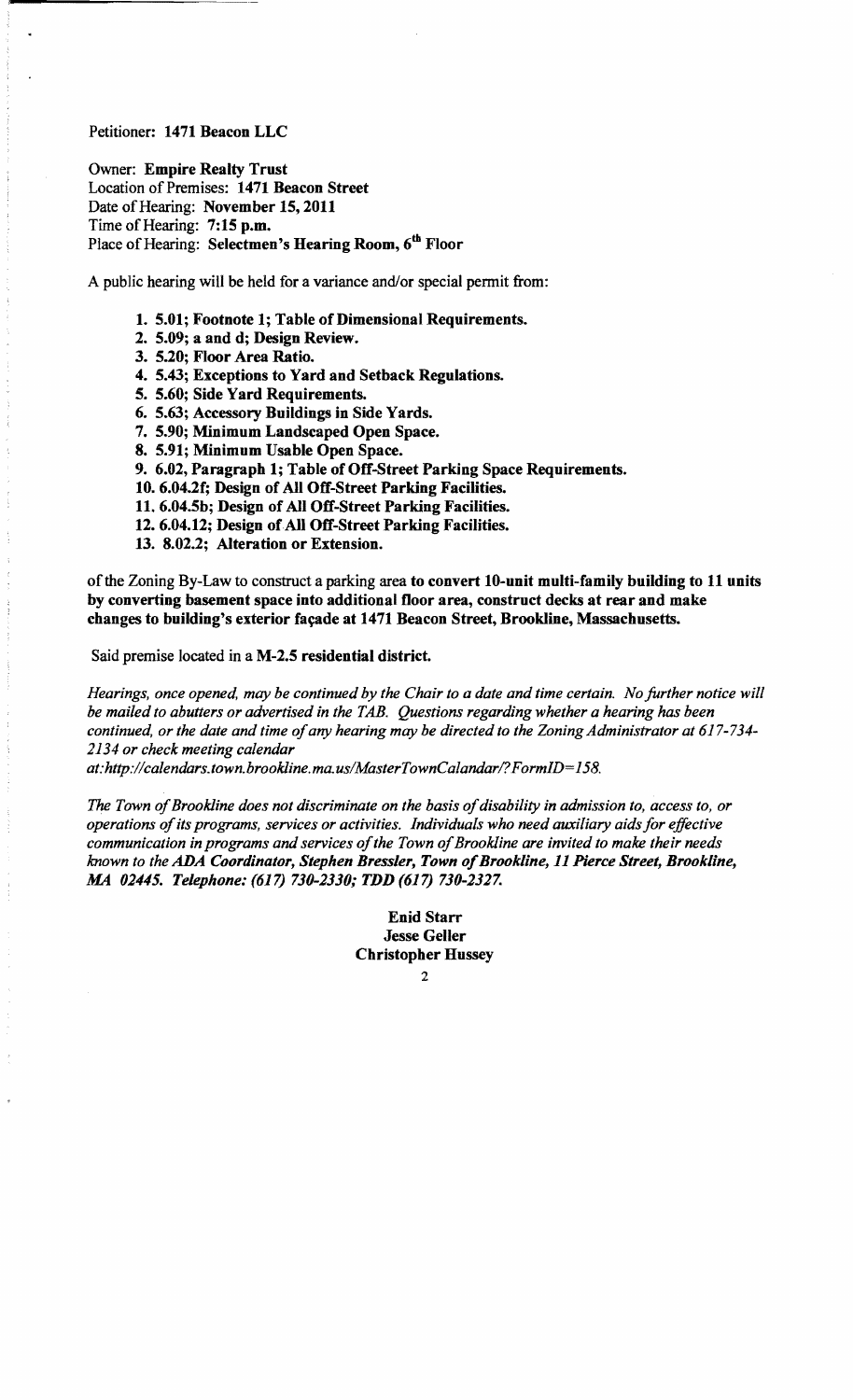## Petitioner: 1471 Beacon LLC

Owner: Empire Realty Trust Location of Premises: 1471 Beacon Street Date of Hearing: November 15, 2011 Time of Hearing: 7:15 p.m. Place of Hearing: Selectmen's Hearing Room, 6<sup>th</sup> Floor

A public hearing will be held for a variance and/or special permit from:

- 1. 5.01; Footnote 1; Table of Dimensional Requirements.
- 2. 5.09; a and d; Design Review.
- 3. 5.20; Floor Area Ratio.
- 4. 5.43; Exceptions to Yard and Setback Regulations.
- 5. 5.60; Side Yard Requirements.
- 6. 5.63; Accessory Buildings in Side Yards.
- 7. 5.90; Minimum Landscaped Open Space.
- 8. 5.91; Minimum Usable Open Space.
- 9. 6.02, Paragraph 1; Table of Off-Street Parking Space Requirements.
- 10. 6.04.2f; Design of All Off-Street Parking Facilities.
- 11. 6.04.5b; Design of All Off-Street Parking Facilities.
- 12. 6.04.12; Design of All Off-Street Parking Facilities.
- 13. 8.02.2; Alteration or Extension.

of the Zoning By-Law to construct a parking area to convert 10-unit multi-family building to 11 units by converting basement space into additional floor area, construct decks at rear and make changes to building's exterior façade at 1471 Beacon Street, Brookline, Massachusetts.

Said premise located in a M-2.5 residential district.

*Hearings, once opened, may be continued by the Chair to a date and time certain. No further notice will be mailed to abutters or advertised in the TAB. Questions regarding whether a hearing has been continued, or the date and time of any hearing may be directed to the Zoning Administrator at 617-734-2134 or check meeting calendar* 

*at: http;/!calendars.town.brookline.ma.us/MasterTownCalandarl? F ormID= 158.* 

The Town of Brookline does not discriminate on the basis of disability in admission to, access to, or *operations ofits programs, services or activities. Individuals who need auxiliary aids for effective*  communication in programs and services of the Town of Brookline are invited to make their needs *known to the* ADA *Coordinator, Stephen Bressler, Town ofBrookline,* 11 *Pierce Street, Brookline,*  AM *02445. Telephone:* (617) *710-2110; TDD* (617) *710-2127.* 

> Enid Starr Jesse Geller Christopher Hussey

> > $\overline{2}$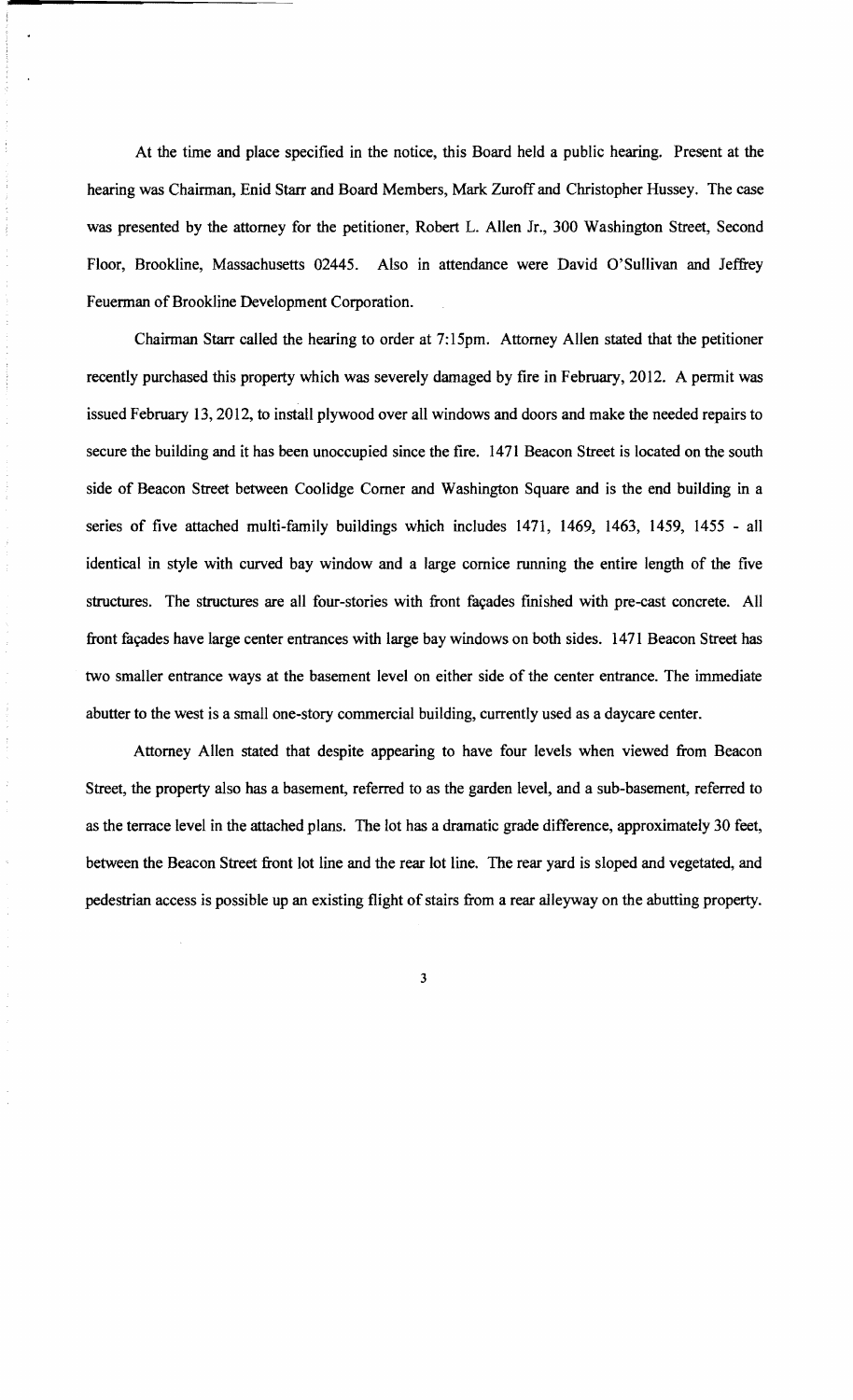At the time and place specified in the notice, this Board held a public hearing. Present at the hearing was Chairman, Enid Starr and Board Members, Mark Zuroff and Christopher Hussey. The case was presented by the attorney for the petitioner, Robert L. Allen Jr., 300 Washington Street, Second Floor, Brookline, Massachusetts 02445. Also in attendance were David O'Sullivan and Jeffrey Feuerman of Brookline Development Corporation.

Chairman Starr called the hearing to order at 7:15pm. Attorney Allen stated that the petitioner recently purchased this property which was severely damaged by fire in February, 2012. A permit was issued February 13,2012, to install plywood over all windows and doors and make the needed repairs to secure the building and it has been unoccupied since the fire. 1471 Beacon Street is located on the south side of Beacon Street between Coolidge Comer and Washington Square and is the end building in a series of five attached multi-family buildings which includes 1471, 1469, 1463, 1459, 1455 - all identical in style with curved bay window and a large cornice running the entire length of the five structures. The structures are all four-stories with front façades finished with pre-cast concrete. All front façades have large center entrances with large bay windows on both sides. 1471 Beacon Street has two smaller entrance ways at the basement level on either side of the center entrance. The immediate abutter to the west is a small one-story commercial building, currently used as a daycare center.

Attorney Allen stated that despite appearing to have four levels when viewed from Beacon Street, the property also has a basement, referred to as the garden level, and a sub-basement, referred to as the terrace level in the attached plans. The lot has a dramatic grade difference, approximately 30 feet, between the Beacon Street front lot line and the rear lot line. The rear yard is sloped and vegetated, and pedestrian access is possible up an existing flight of stairs from a rear alleyway on the abutting property.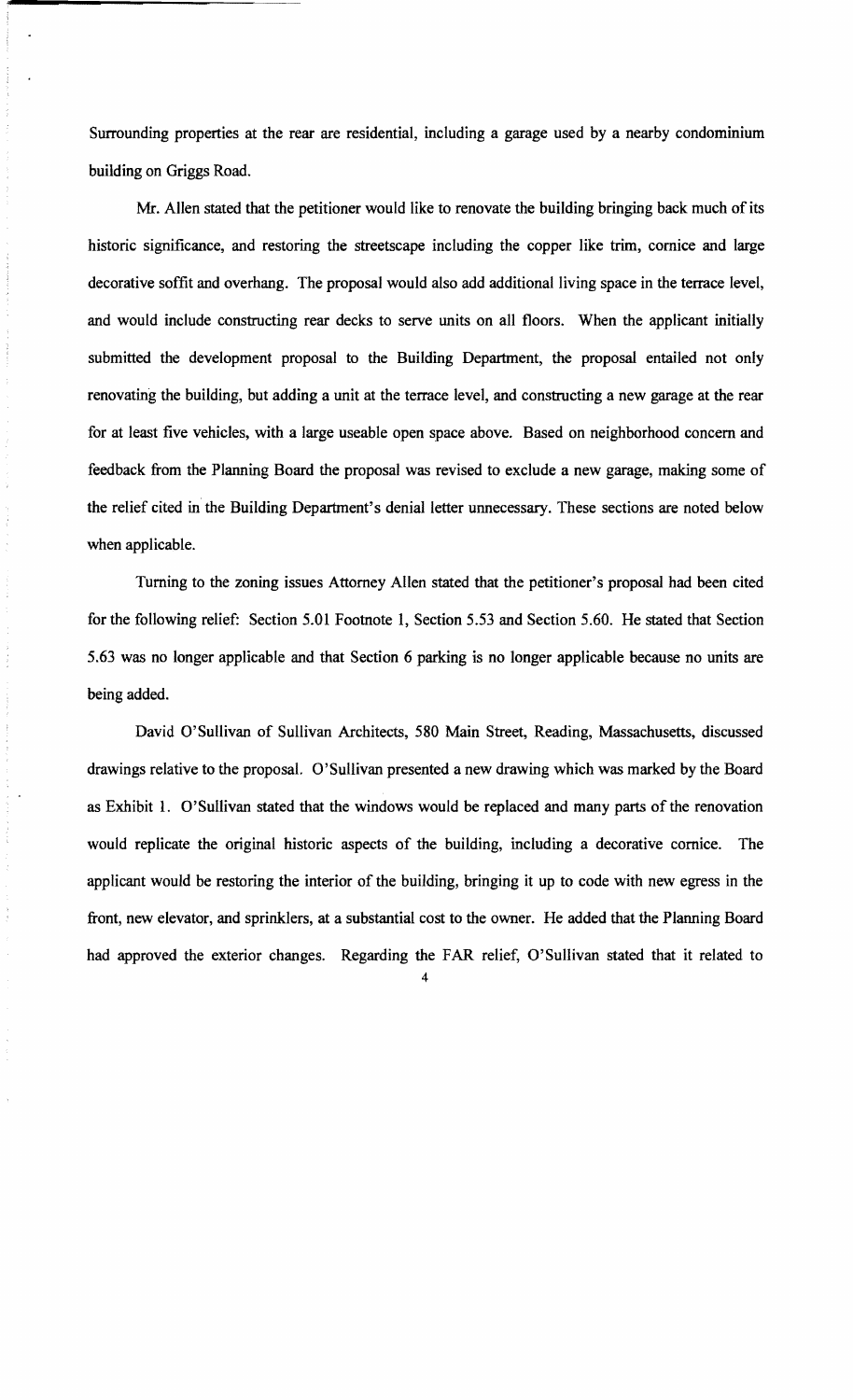Surrounding properties at the rear are residential, including a garage used by a nearby condominium building on Griggs Road.

Mr. Allen stated that the petitioner would like to renovate the building bringing back much of its historic significance, and restoring the streetscape including the copper like trim, cornice and large decorative soffit and overhang. The proposal would also add additional living space in the terrace level, and would include constructing rear decks to serve units on all floors. When the applicant initially submitted the development proposal to the Building Department, the proposal entailed not only renovating the building, but adding a unit at the terrace level, and constructing a new garage at the rear for at least five vehicles, with a large useable open space above. Based on neighborhood concern and feedback from the Planning Board the proposal was revised to exclude a new garage, making some of the relief cited in the Building Department's denial letter unnecessary. These sections are noted below when applicable.

Turning to the zoning issues Attorney Allen stated that the petitioner's proposal had been cited for the following relief: Section 5.01 Footnote 1, Section 5.53 and Section 5.60. He stated that Section 5.63 was no longer applicable and that Section 6 parking is no longer applicable because no units are being added.

David O'Sullivan of Sullivan Architects, 580 Main Street, Reading, Massachusetts, discussed drawings relative to the proposal. O'Sullivan presented a new drawing which was marked by the Board as Exhibit 1. O'Sullivan stated that the windows would be replaced and many parts of the renovation would replicate the original historic aspects of the building, including a decorative cornice. The applicant would be restoring the interior of the building, bringing it up to code with new egress in the front, new elevator, and sprinklers, at a substantial cost to the owner. He added that the Planning Board had approved the exterior changes. Regarding the FAR relief, O'Sullivan stated that it related to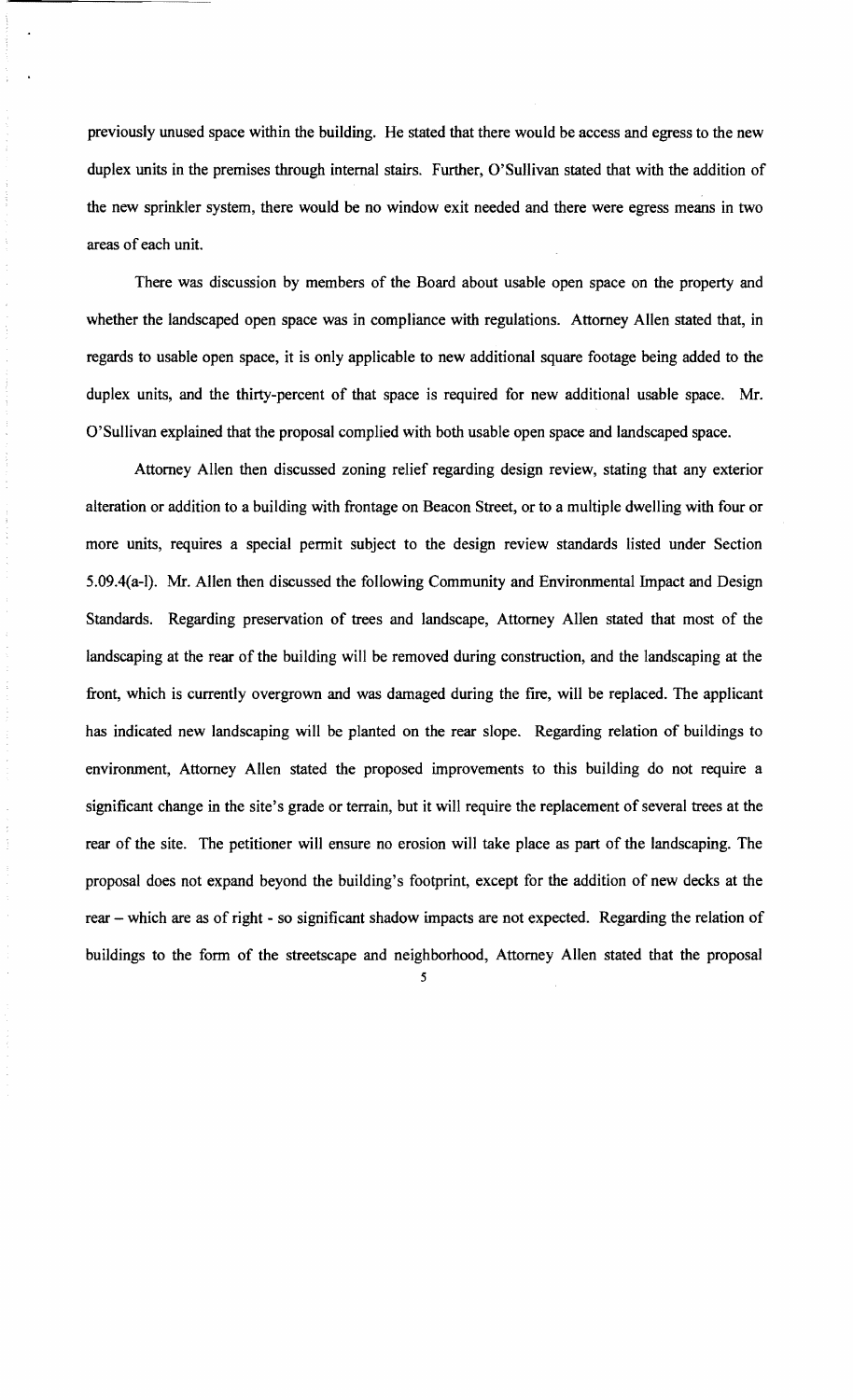previously unused space within the building. He stated that there would be access and egress to the new duplex units in the premises through internal stairs. Further, O'Sullivan stated that with the addition of the new sprinkler system, there would be no window exit needed and there were egress means in two areas of each unit.

There was discussion by members of the Board about usable open space on the property and whether the landscaped open space was in compliance with regulations. Attorney Allen stated that, in regards to usable open space, it is only applicable to new additional square footage being added to the duplex units, and the thirty-percent of that space is required for new additional usable space. Mr. O'Sullivan explained that the proposal complied with both usable open space and landscaped space.

Attorney Allen then discussed zoning relief regarding design review, stating that any exterior alteration or addition to a building with frontage on Beacon Street, or to a multiple dwelling with four or more units, requires a special permit subject to the design review standards listed under Section 5.09.4(a-I). Mr. Allen then discussed the following Community and Environmental Impact and Design Standards. Regarding preservation of trees and landscape, Attorney Allen stated that most of the landscaping at the rear of the building will be removed during construction, and the landscaping at the front, which is currently overgrown and was damaged during the fire, will be replaced. The applicant has indicated new landscaping will be planted on the rear slope. Regarding relation of buildings to environment, Attorney Allen stated the proposed improvements to this building do not require a significant change in the site's grade or terrain, but it will require the replacement of several trees at the rear of the site. The petitioner will ensure no erosion will take place as part of the landscaping. The proposal does not expand beyond the building's footprint, except for the addition of new decks at the rear - which are as of right - so significant shadow impacts are not expected. Regarding the relation of buildings to the form of the streetscape and neighborhood, Attorney Allen stated that the proposal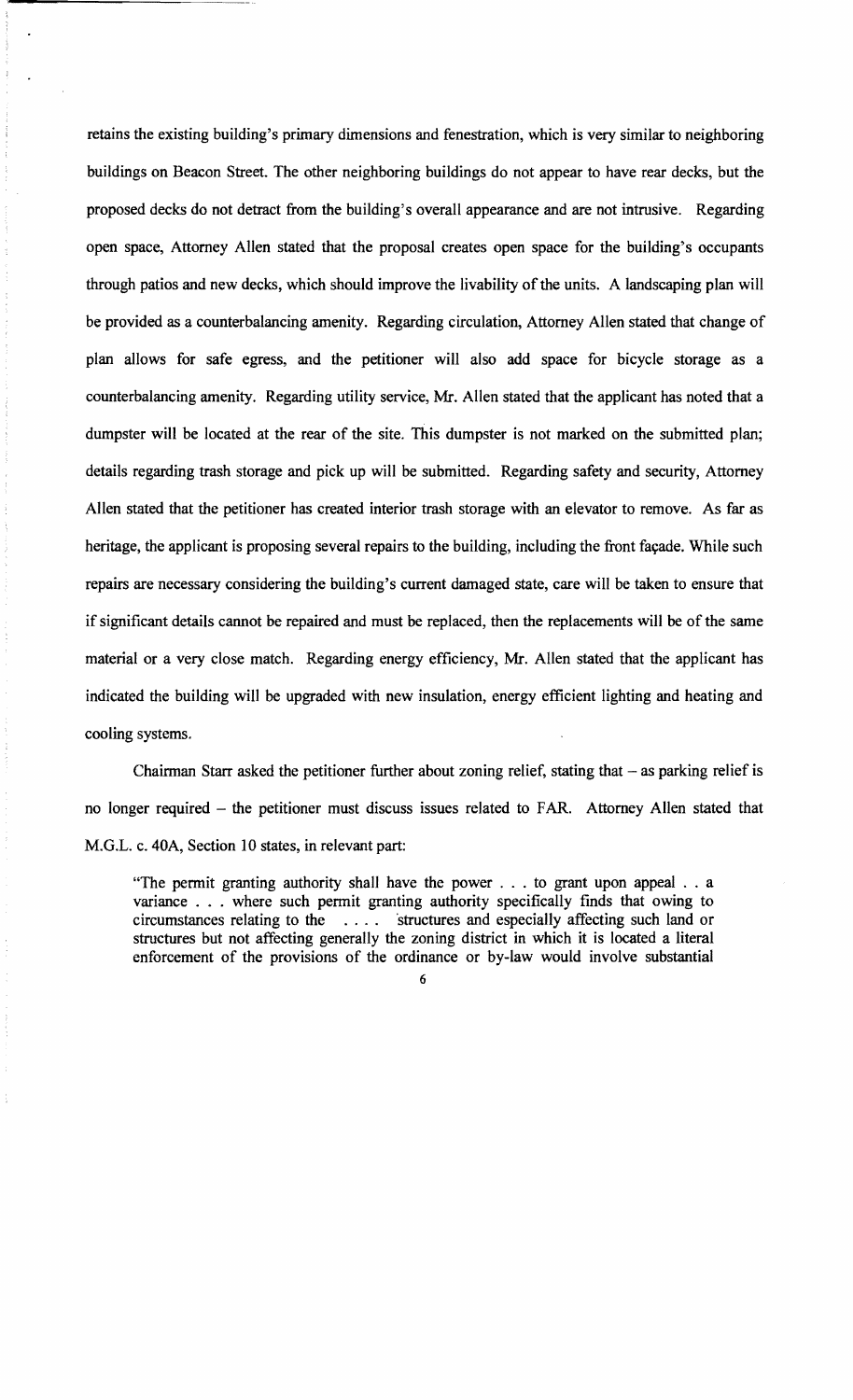retains the existing building's primary dimensions and fenestration, which is very similar to neighboring buildings on Beacon Street. The other neighboring buildings do not appear to have rear decks, but the proposed decks do not detract from the building's overall appearance and are not intrusive. Regarding open space, Attorney Allen stated that the proposal creates open space for the building's occupants through patios and new decks, which should improve the livability of the units. A landscaping plan will be provided as a counterbalancing amenity. Regarding circulation, Attorney Allen stated that change of plan allows for safe egress, and the petitioner will also add space for bicycle storage as a counterbalancing amenity. Regarding utility service, Mr. Allen stated that the applicant has noted that a dumpster will be located at the rear of the site. This dumpster is not marked on the submitted plan; details regarding trash storage and pick up will be submitted. Regarding safety and security, Attorney Allen stated that the petitioner has created interior trash storage with an elevator to remove. As far as heritage, the applicant is proposing several repairs to the building, including the front façade. While such repairs are necessary considering the building's current damaged state, care will be taken to ensure that if significant details cannot be repaired and must be replaced, then the replacements will be of the same material or a very close match. Regarding energy efficiency, Mr. Allen stated that the applicant has indicated the building will be upgraded with new insulation, energy efficient lighting and heating and cooling systems.

Chairman Starr asked the petitioner further about zoning relief, stating that  $-$  as parking relief is no longer required - the petitioner must discuss issues related to FAR. Attorney Allen stated that M.G.L. c. 40A, Section 10 states, in relevant part:

"The permit granting authority shall have the power . . . to grant upon appeal . . a variance . . . where such permit granting authority specifically finds that owing to circumstances relating to the  $\dots$  is tructures and especially affecting such land or structures but not affecting generally the zoning district in which it is located a literal enforcement of the provisions of the ordinance or by-law would involve substantial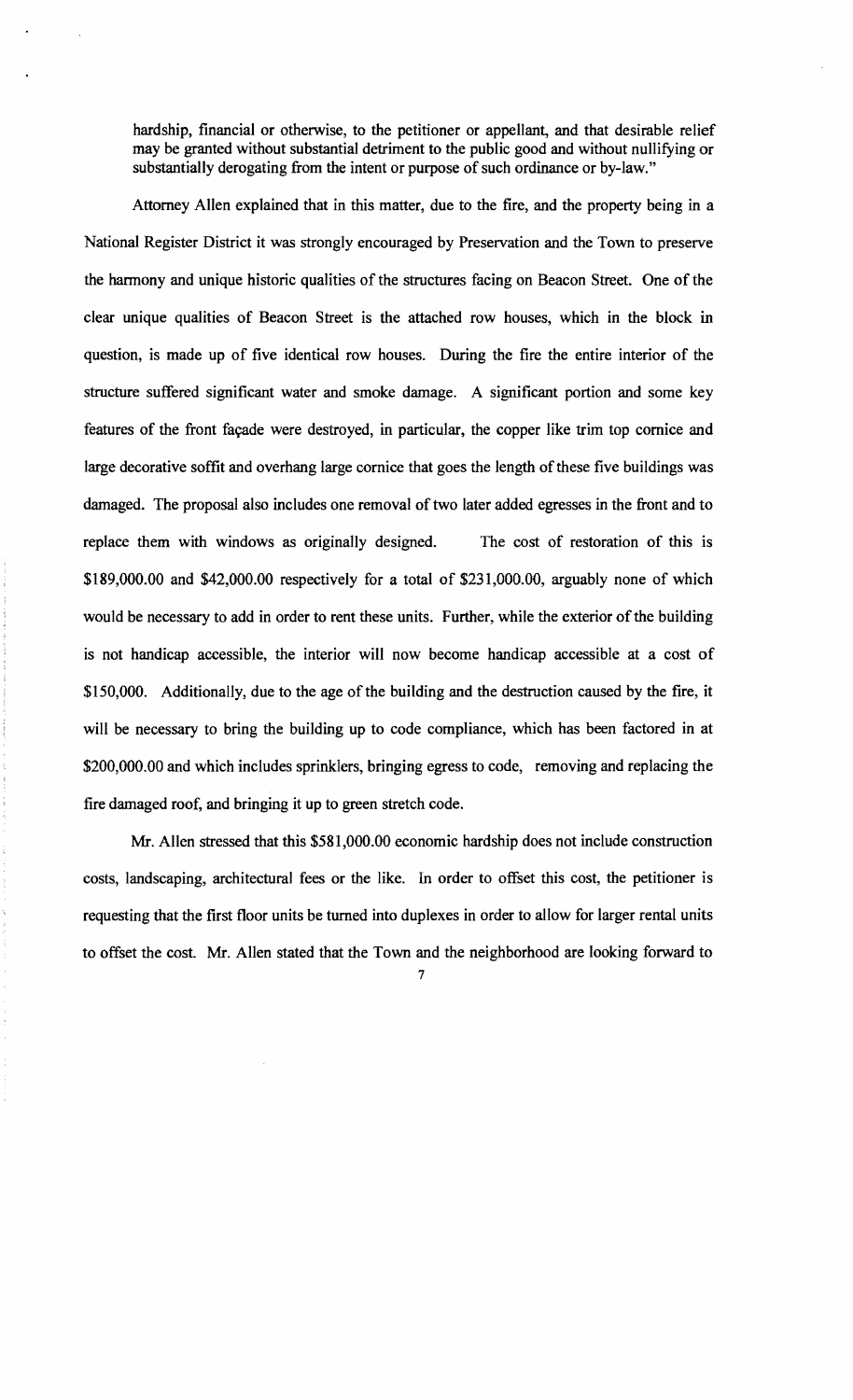hardship, financial or otherwise, to the petitioner or appellant, and that desirable relief may be granted without substantial detriment to the public good and without nullifying or substantially derogating from the intent or purpose of such ordinance or by-law."

Attorney Allen explained that in this matter, due to the fire, and the property being in a National Register District it was strongly encouraged by Preservation and the Town to preserve the harmony and unique historic qualities of the structures facing on Beacon Street. One of the clear unique qualities of Beacon Street is the attached row houses, which in the block in question, is made up of five identical row houses. During the fire the entire interior of the structure suffered significant water and smoke damage. A significant portion and some key features of the front façade were destroyed, in particular, the copper like trim top cornice and large decorative soffit and overhang large cornice that goes the length of these five buildings was damaged. The proposal also includes one removal of two later added egresses in the front and to replace them with windows as originally designed. The cost of restoration of this is \$189,000.00 and \$42,000.00 respectively for a total of \$231,000.00, arguably none of which would be necessary to add in order to rent these units. Further, while the exterior of the building is not handicap accessible, the interior will now become handicap accessible at a cost of \$150,000. Additionally, due to the age of the building and the destruction caused by the fire, it will be necessary to bring the building up to code compliance, which has been factored in at \$200,000.00 and which includes sprinklers, bringing egress to code, removing and replacing the fire damaged roof, and bringing it up to green stretch code.

Mr. Allen stressed that this \$581,000.00 economic hardship does not include construction costs, landscaping, architectural fees or the like. In order to offset this cost, the petitioner is requesting that the first floor units be turned into duplexes in order to allow for larger rental units to offset the cost. Mr. Allen stated that the Town and the neighborhood are looking forward to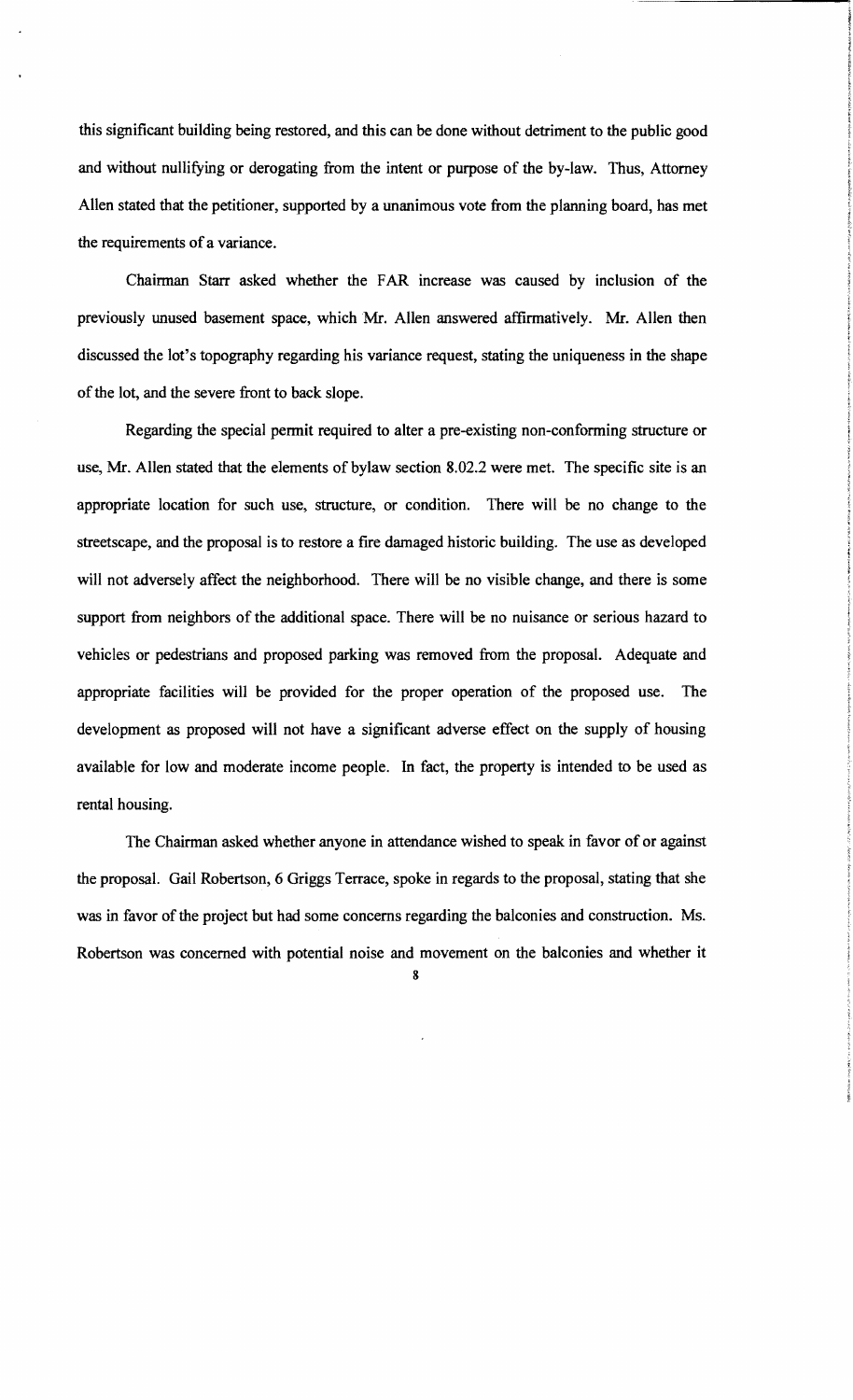this significant building being restored, and this can be done without detriment to the public good and without nullifying or derogating from the intent or purpose of the by-law. Thus, Attorney Allen stated that the petitioner, supported by a unanimous vote from the planning board, has met the requirements of a variance.

Chairman Starr asked whether the FAR increase was caused by inclusion of the previously unused basement space, which Mr. Allen answered affirmatively. Mr. Allen then discussed the lot's topography regarding his variance request, stating the uniqueness in the shape of the lot, and the severe front to back slope.

Regarding the special permit required to alter a pre-existing non-conforming structure or use, Mr. Allen stated that the elements of bylaw section 8.02.2 were met. The specific site is an appropriate location for such use, structure, or condition. There will be no change to the streetscape, and the proposal is to restore a fire damaged historic building. The use as developed will not adversely affect the neighborhood. There will be no visible change, and there is some support from neighbors of the additional space. There will be no nuisance or serious hazard to vehicles or pedestrians and proposed parking was removed from the proposal. Adequate and appropriate facilities will be provided for the proper operation of the proposed use. The development as proposed will not have a significant adverse effect on the supply of housing available for low and moderate income people. In fact, the property is intended to be used as rental housing.

The Chairman asked whether anyone in attendance wished to speak in favor of or against the proposal. Gail Robertson, 6 Griggs Terrace, spoke in regards to the proposal, stating that she was in favor of the project but had some concerns regarding the balconies and construction. Ms. Robertson was concerned with potential noise and movement on the balconies and whether it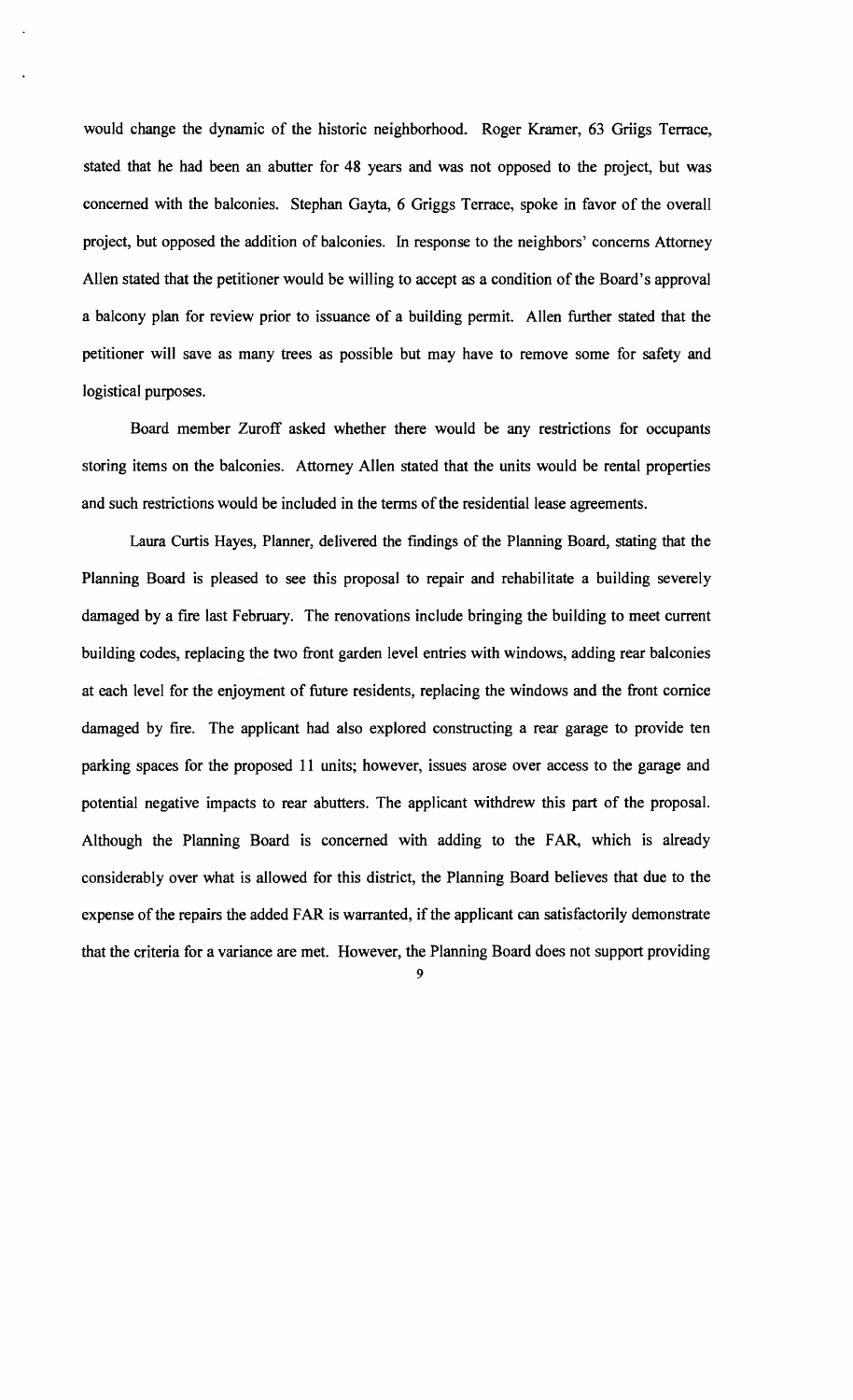would change the dynamic of the historic neighborhood. Roger Kramer, 63 Griigs Terrace, stated that he had been an abutter for 48 years and was not opposed to the project, but was concerned with the balconies. Stephan Gayta, 6 Griggs Terrace, spoke in favor of the overall project, but opposed the addition of balconies. In response to the neighbors' concerns Attorney Allen stated that the petitioner would be willing to accept as a condition of the Board's approval a balcony plan for review prior to issuance of a building permit. Allen further stated that the petitioner will save as many trees as possible but may have to remove some for safety and logistical purposes.

Board member Zuroff asked whether there would be any restrictions for occupants storing items on the balconies. Attorney Allen stated that the units would be rental properties and such restrictions would be included in the terms of the residential lease agreements.

Laura Curtis Hayes, Planner, delivered the fmdings of the Planning Board, stating that the Planning Board is pleased to see this proposal to repair and rehabilitate a building severely damaged by a fire last February. The renovations include bringing the building to meet current building codes, replacing the two front garden level entries with windows, adding rear balconies at each level for the enjoyment of future residents, replacing the windows and the front cornice damaged by fire. The applicant had also explored constructing a rear garage to provide ten parking spaces for the proposed 11 units; however, issues arose over access to the garage and potential negative impacts to rear abutters. The applicant withdrew this part of the proposal. Although the Planning Board is concerned with adding to the FAR, which is already considerably over what is allowed for this district, the Planning Board believes that due to the expense of the repairs the added FAR is warranted, if the applicant can satisfactorily demonstrate that the criteria for a variance are met. However, the Planning Board does not support providing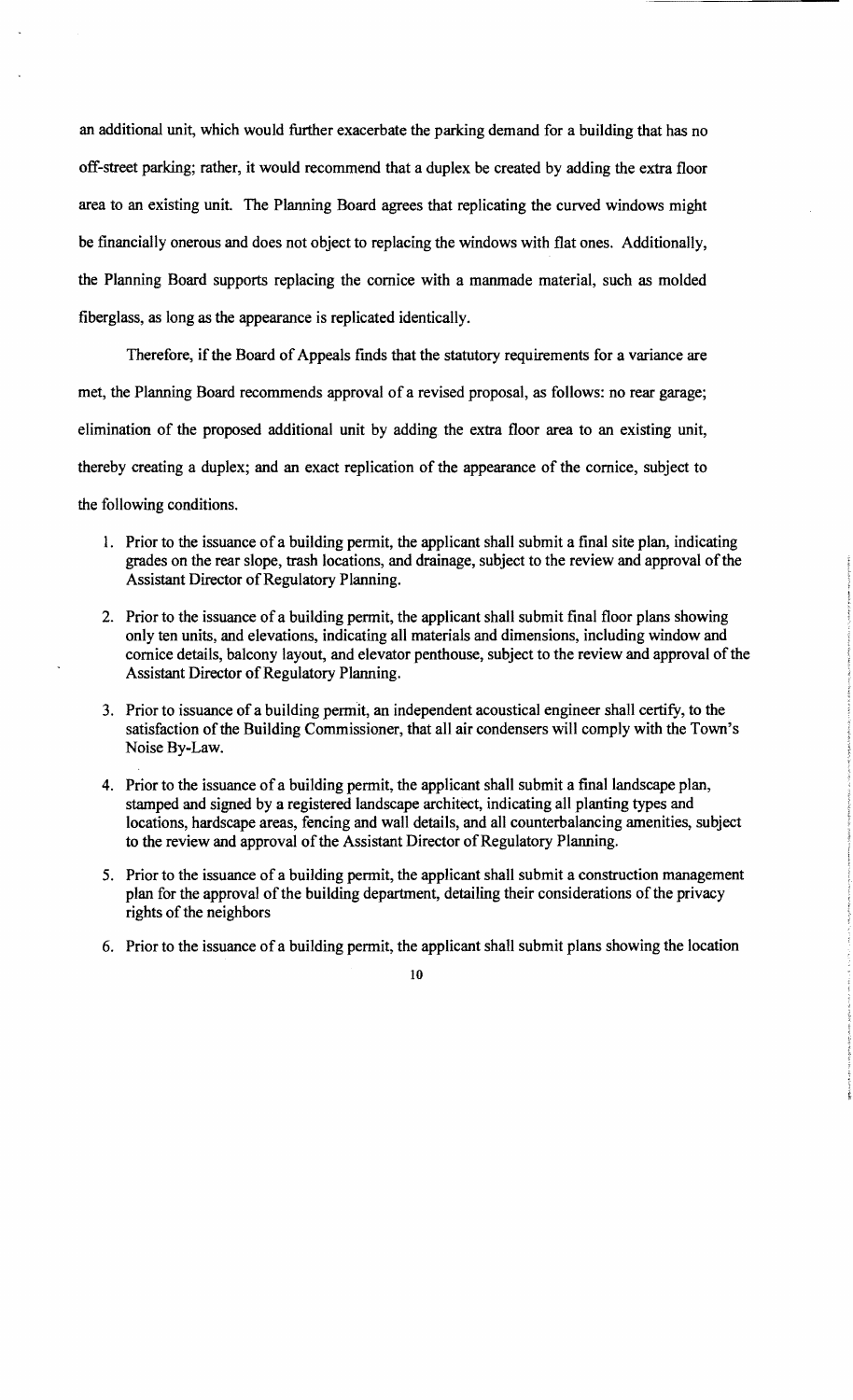an additional unit, which would further exacerbate the parking demand for a building that has no off-street parking; rather, it would recommend that a duplex be created by adding the extra floor area to an existing unit. The Planning Board agrees that replicating the curved windows might be fmancially onerous and does not object to replacing the windows with flat ones. Additionally, the Planning Board supports replacing the cornice with a manmade material, such as molded fiberglass, as long as the appearance is replicated identically.

Therefore, if the Board of Appeals finds that the statutory requirements for a variance are met, the Planning Board recommends approval of a revised proposal, as follows: no rear garage; elimination of the proposed additional unit by adding the extra floor area to an existing unit, thereby creating a duplex; and an exact replication of the appearance of the cornice, subject to the following conditions.

- 1. Prior to the issuance of a building permit, the applicant shall submit a final site plan, indicating grades on the rear slope, trash locations, and drainage, subject to the review and approval of the Assistant Director of Regulatory Planning.
- 2. Prior to the issuance of a building permit, the applicant shall submit final floor plans showing only ten units, and elevations, indicating all materials and dimensions, including window and cornice details, balcony layout, and elevator penthouse, subject to the review and approval of the Assistant Director of Regulatory Planning.
- 3. Prior to issuance of a building permit, an independent acoustical engineer shall certify, to the satisfaction of the Building Commissioner, that all air condensers will comply with the Town's Noise By-Law.
- 4. Prior to the issuance of a building permit, the applicant shall submit a final landscape plan, stamped and signed by a registered landscape architect, indicating all planting types and locations, hardscape areas, fencing and wall details, and all counterbalancing amenities, subject to the review and approval of the Assistant Director of Regulatory Planning.
- 5. Prior to the issuance of a building permit, the applicant shall submit a construction management plan for the approval of the building department, detailing their considerations of the privacy rights of the neighbors
- 6. Prior to the issuance of a building permit, the applicant shall submit plans showing the location

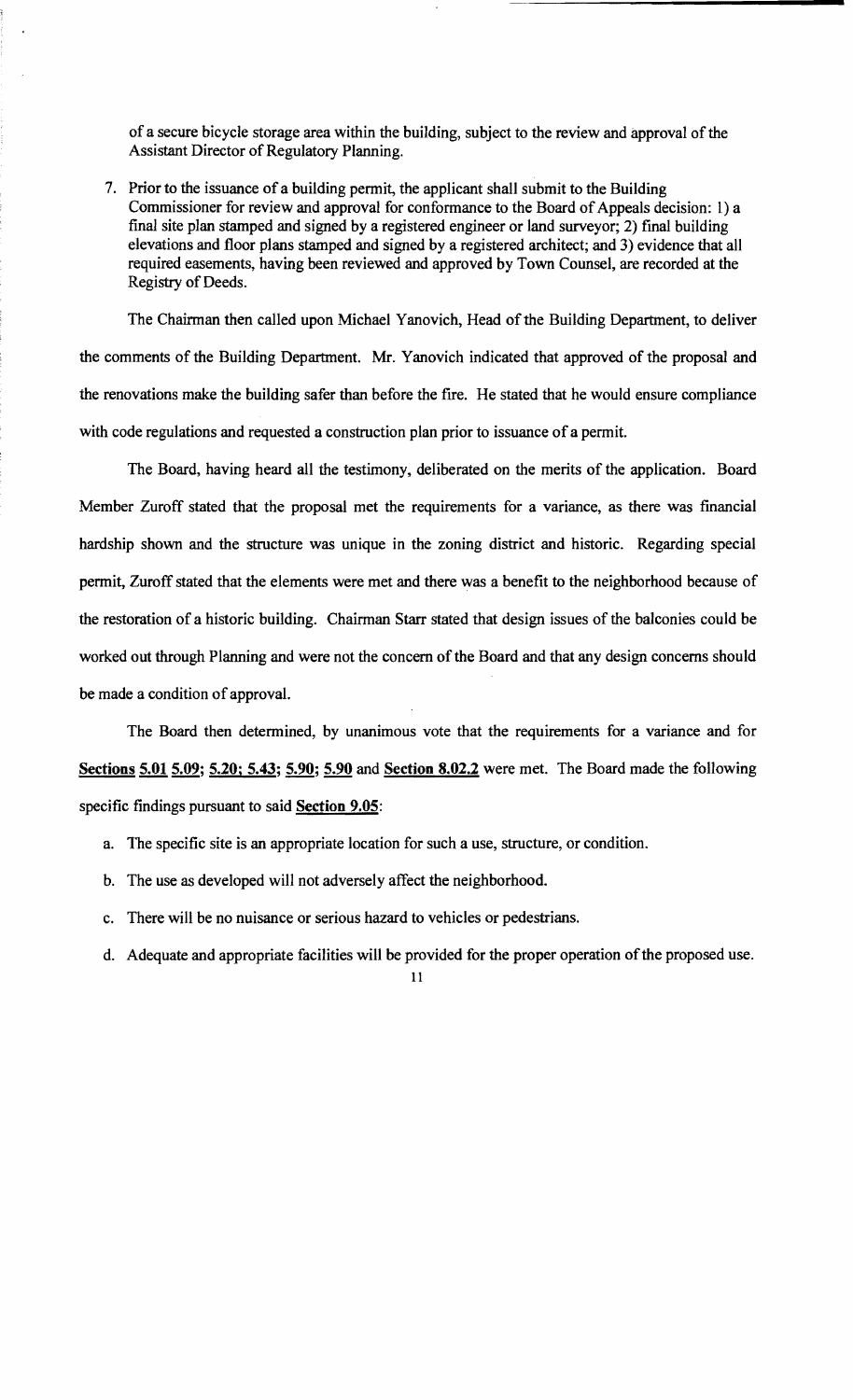of a secure bicycle storage area within the building, subject to the review and approval of the Assistant Director of Regulatory Planning.

7. Prior to the issuance of a building permit, the applicant shall submit to the Building Commissioner for review and approval for conformance to the Board of Appeals decision: 1) a final site plan stamped and signed by a registered engineer or land surveyor; 2) final building elevations and floor plans stamped and signed by a registered architect; and 3) evidence that all required easements, having been reviewed and approved by Town Counsel, are recorded at the Registry of Deeds.

The Chairman then called upon Michael Yanovich, Head of the Building Department, to deliver the comments of the Building Department. Mr. Yanovich indicated that approved of the proposal and the renovations make the building safer than before the fire. He stated that he would ensure compliance with code regulations and requested a construction plan prior to issuance of a permit.

The Board, having heard all the testimony, deliberated on the merits of the application. Board Member Zuroff stated that the proposal met the requirements for a variance, as there was financial hardship shown and the structure was unique in the zoning district and historic. Regarding special permit, Zuroff stated that the elements were met and there was a benefit to the neighborhood because of the restoration of a historic building. Chairman Starr stated that design issues of the balconies could be worked out through Planning and were not the concern of the Board and that any design concerns should be made a condition of approval.

The Board then determined, by unanimous vote that the requirements for a variance and for Sections 5.01 5.09; 5.20; 5.43; 5.90; 5.90 and Section 8.02.2 were met. The Board made the following specific findings pursuant to said **Section 9.05**:

- a. The specific site is an appropriate location for such a use, structure, or condition.
- b. The use as developed will not adversely affect the neighborhood.
- c. There will be no nuisance or serious hazard to vehicles or pedestrians.
- d. Adequate and appropriate facilities will be provided for the proper operation of the proposed use.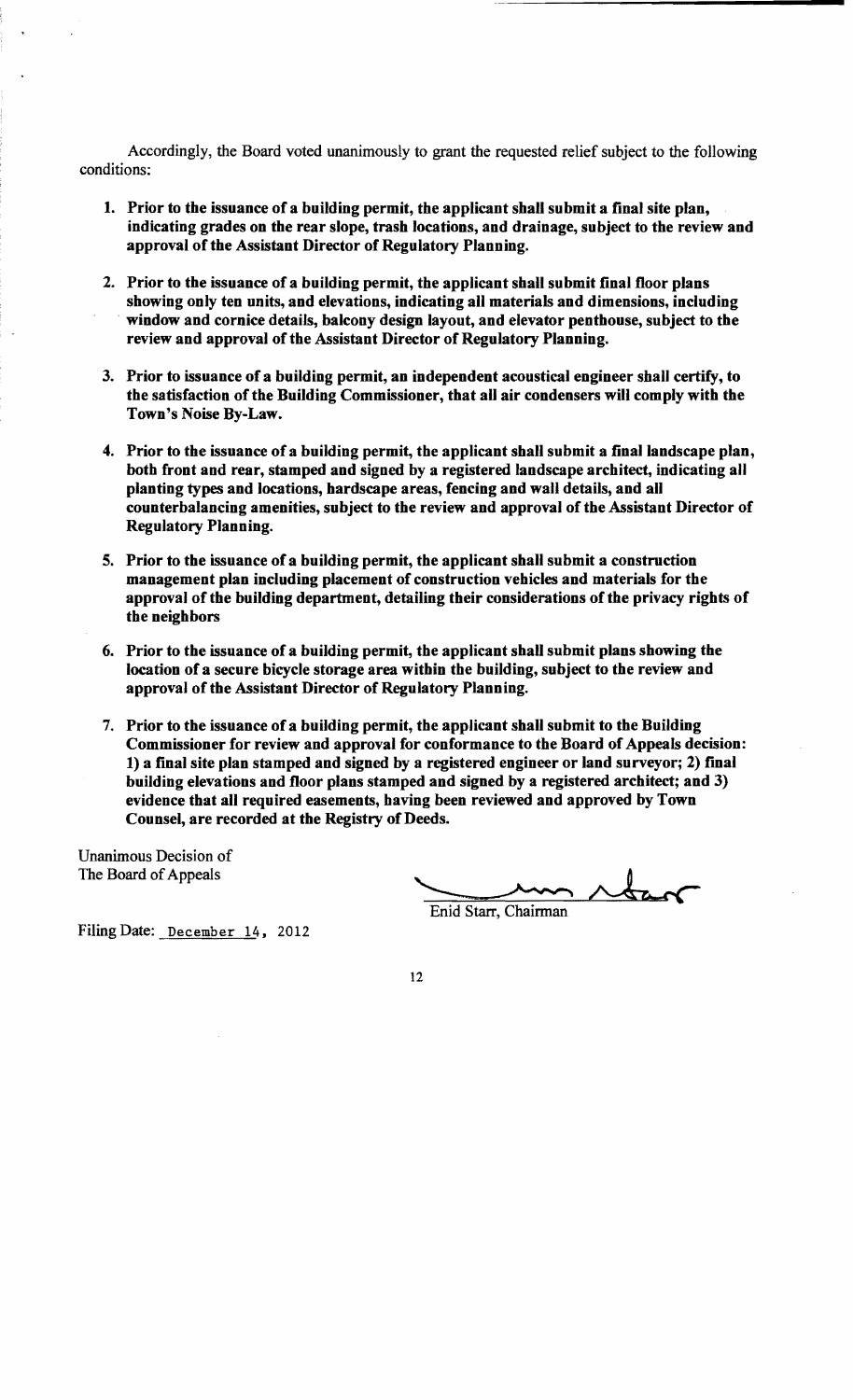Accordingly, the Board voted unanimously to grant the requested relief subject to the following conditions:

- 1. Prior to the issuance of a building permit, the applicant shall submit a final site plan, indicating grades on the rear slope, trash locations, and drainage, subject to the review and approval of the Assistant Director of Regulatory Planning.
- 2. Prior to the issuance of a building permit, the applicant shall submit final floor plans showing only ten units, and elevations, indicating all materials and dimensions, including . window and cornice details, balcony design layout, and elevator penthouse, subject to the review and approval of the Assistant Director of Regulatory Planning.
- 3. Prior to issuance of a building permit, an independent acoustical engineer shall certify, to the satisfaction of the Building Commissioner, that all air condensers will comply with the Town's Noise By-Law.
- 4. Prior to the issuance of a building permit, the applicant shall submit a final landscape plan, both front and rear, stamped and signed by a registered landscape architect, indicating all planting types and locations, hardscape areas, fencing and wall details, and all counterbalancing amenities, subject to the review and approval of the Assistant Director of Regulatory Planning.
- 5. Prior to the issuance of a building permit, the applicant shall submit a construction management plan including placement of construction vehicles and materials for the approval of the building department, detailing their considerations of the privacy rights of the neighbors
- 6. Prior to the issuance of a building permit, the applicant shall submit plans showing the location of a secure bicycle storage area within the building, subject to the review and approval of the Assistant Director of Regulatory Planning.
- 7. Prior to the issuance of a building permit, the applicant shall submit to the Building Commissioner for review and approval for conformance to the Board of Appeals decision: 1) a final site plan stamped and signed by a registered engineer or land surveyor; 2) final building elevations and floor plans stamped and signed by a registered architect; and 3) evidence that all required easements, having been reviewed and approved by Town Counsel, are recorded at the Registry of Deeds.

Unanimous Decision of The Board of Appeals

mg been reviewed and approved by Town<br>reeds.

Filing Date: December 14, 2012